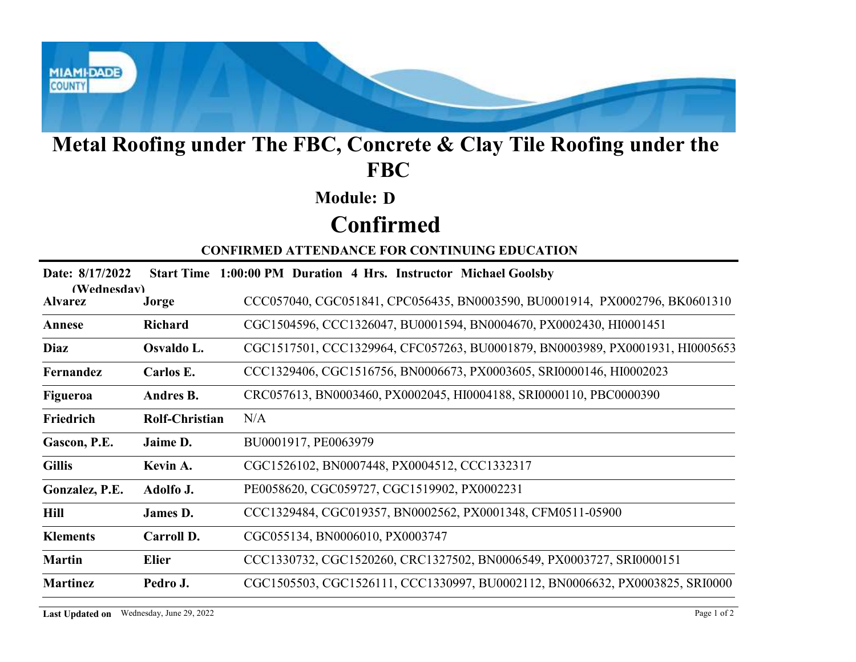

# Metal Roofing under The FBC, Concrete & Clay Tile Roofing under the FBC

#### Module: D

### Confirmed

|                               |                                          | Metal Roofing under The FBC, Concrete & Clay Tile Roofing under the<br><b>FBC</b> |
|-------------------------------|------------------------------------------|-----------------------------------------------------------------------------------|
|                               |                                          | <b>Module: D</b>                                                                  |
|                               |                                          | <b>Confirmed</b>                                                                  |
|                               |                                          | <b>CONFIRMED ATTENDANCE FOR CONTINUING EDUCATION</b>                              |
| Date: 8/17/2022               |                                          | Start Time 1:00:00 PM Duration 4 Hrs. Instructor Michael Goolsby                  |
| (Wednesdav)<br><b>Alvarez</b> | Jorge                                    | CCC057040, CGC051841, CPC056435, BN0003590, BU0001914, PX0002796, BK0601310       |
| Annese                        | <b>Richard</b>                           | CGC1504596, CCC1326047, BU0001594, BN0004670, PX0002430, HI0001451                |
| <b>Diaz</b>                   | Osvaldo L.                               | CGC1517501, CCC1329964, CFC057263, BU0001879, BN0003989, PX0001931, HI0005653     |
| Fernandez                     | Carlos E.                                | CCC1329406, CGC1516756, BN0006673, PX0003605, SRI0000146, HI0002023               |
| Figueroa                      | Andres B.                                | CRC057613, BN0003460, PX0002045, HI0004188, SRI0000110, PBC0000390                |
| Friedrich                     | <b>Rolf-Christian</b>                    | N/A                                                                               |
| Gascon, P.E.                  | Jaime D.                                 | BU0001917, PE0063979                                                              |
| <b>Gillis</b>                 | Kevin A.                                 | CGC1526102, BN0007448, PX0004512, CCC1332317                                      |
| Gonzalez, P.E.                | Adolfo J.                                | PE0058620, CGC059727, CGC1519902, PX0002231                                       |
| Hill                          | James D.                                 | CCC1329484, CGC019357, BN0002562, PX0001348, CFM0511-05900                        |
| <b>Klements</b>               | Carroll D.                               | CGC055134, BN0006010, PX0003747                                                   |
| <b>Martin</b>                 | <b>Elier</b>                             | CCC1330732, CGC1520260, CRC1327502, BN0006549, PX0003727, SRI0000151              |
| <b>Martinez</b>               | Pedro J.                                 | CGC1505503, CGC1526111, CCC1330997, BU0002112, BN0006632, PX0003825, SRI0000      |
|                               | Last Updated on Wednesday, June 29, 2022 | Page 1 of 2                                                                       |